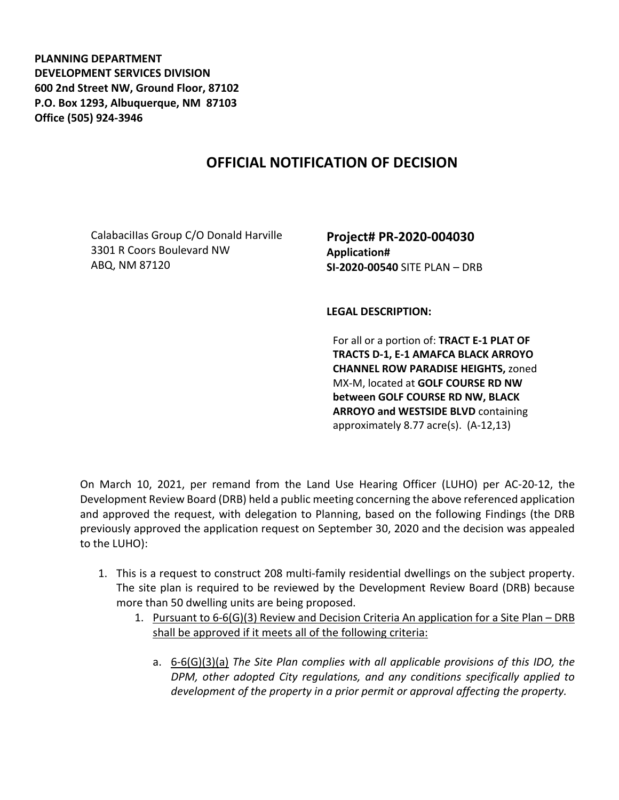**PLANNING DEPARTMENT DEVELOPMENT SERVICES DIVISION 600 2nd Street NW, Ground Floor, 87102 P.O. Box 1293, Albuquerque, NM 87103 Office (505) 924-3946** 

## **OFFICIAL NOTIFICATION OF DECISION**

CalabaciIIas Group C/O Donald Harville 3301 R Coors Boulevard NW ABQ, NM 87120

**Project# PR-2020-004030 Application# SI-2020-00540** SITE PLAN – DRB

**LEGAL DESCRIPTION:**

For all or a portion of: **TRACT E-1 PLAT OF TRACTS D-1, E-1 AMAFCA BLACK ARROYO CHANNEL ROW PARADISE HEIGHTS,** zoned MX-M, located at **GOLF COURSE RD NW between GOLF COURSE RD NW, BLACK ARROYO and WESTSIDE BLVD** containing approximately 8.77 acre(s). (A-12,13)

On March 10, 2021, per remand from the Land Use Hearing Officer (LUHO) per AC-20-12, the Development Review Board (DRB) held a public meeting concerning the above referenced application and approved the request, with delegation to Planning, based on the following Findings (the DRB previously approved the application request on September 30, 2020 and the decision was appealed to the LUHO):

- 1. This is a request to construct 208 multi-family residential dwellings on the subject property. The site plan is required to be reviewed by the Development Review Board (DRB) because more than 50 dwelling units are being proposed.
	- 1. Pursuant to 6-6(G)(3) Review and Decision Criteria An application for a Site Plan DRB shall be approved if it meets all of the following criteria:
		- a. 6-6(G)(3)(a) *The Site Plan complies with all applicable provisions of this IDO, the DPM, other adopted City regulations, and any conditions specifically applied to development of the property in a prior permit or approval affecting the property.*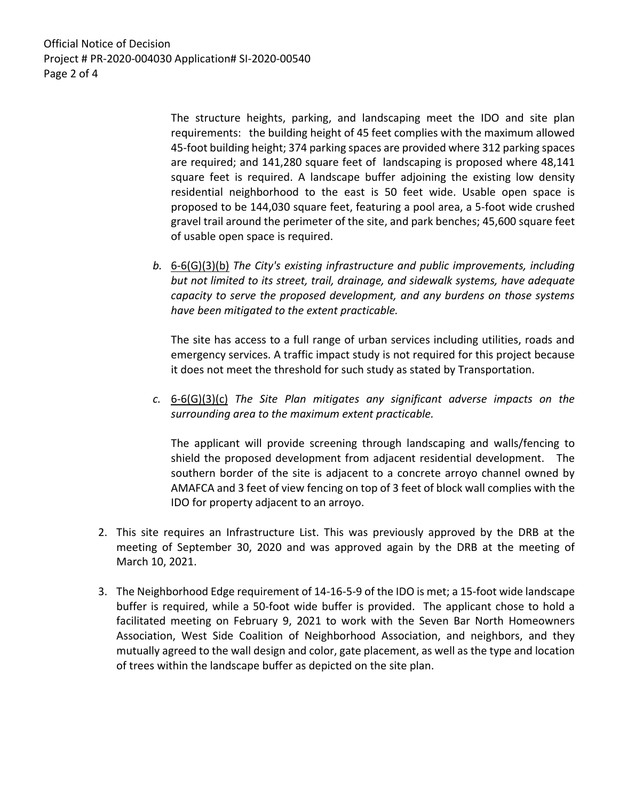Official Notice of Decision Project # PR-2020-004030 Application# SI-2020-00540 Page 2 of 4

> The structure heights, parking, and landscaping meet the IDO and site plan requirements: the building height of 45 feet complies with the maximum allowed 45-foot building height; 374 parking spaces are provided where 312 parking spaces are required; and 141,280 square feet of landscaping is proposed where 48,141 square feet is required. A landscape buffer adjoining the existing low density residential neighborhood to the east is 50 feet wide. Usable open space is proposed to be 144,030 square feet, featuring a pool area, a 5-foot wide crushed gravel trail around the perimeter of the site, and park benches; 45,600 square feet of usable open space is required.

*b.* 6-6(G)(3)(b) *The City's existing infrastructure and public improvements, including but not limited to its street, trail, drainage, and sidewalk systems, have adequate capacity to serve the proposed development, and any burdens on those systems have been mitigated to the extent practicable.* 

The site has access to a full range of urban services including utilities, roads and emergency services. A traffic impact study is not required for this project because it does not meet the threshold for such study as stated by Transportation.

*c.* 6-6(G)(3)(c) *The Site Plan mitigates any significant adverse impacts on the surrounding area to the maximum extent practicable.* 

The applicant will provide screening through landscaping and walls/fencing to shield the proposed development from adjacent residential development. The southern border of the site is adjacent to a concrete arroyo channel owned by AMAFCA and 3 feet of view fencing on top of 3 feet of block wall complies with the IDO for property adjacent to an arroyo.

- 2. This site requires an Infrastructure List. This was previously approved by the DRB at the meeting of September 30, 2020 and was approved again by the DRB at the meeting of March 10, 2021.
- 3. The Neighborhood Edge requirement of 14-16-5-9 of the IDO is met; a 15-foot wide landscape buffer is required, while a 50-foot wide buffer is provided. The applicant chose to hold a facilitated meeting on February 9, 2021 to work with the Seven Bar North Homeowners Association, West Side Coalition of Neighborhood Association, and neighbors, and they mutually agreed to the wall design and color, gate placement, as well as the type and location of trees within the landscape buffer as depicted on the site plan.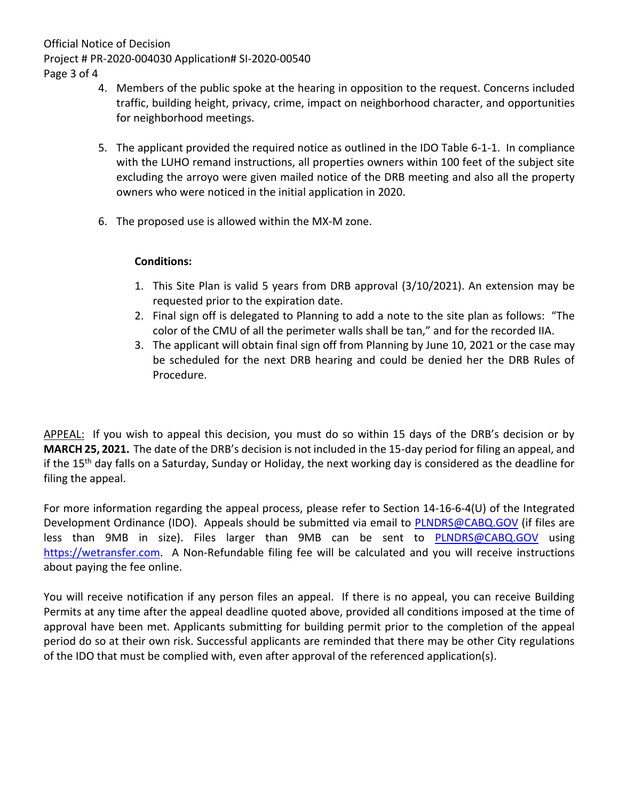Official Notice of Decision

Project # PR-2020-004030 Application# SI-2020-00540

Page 3 of 4

- 4. Members of the public spoke at the hearing in opposition to the request. Concerns included traffic, building height, privacy, crime, impact on neighborhood character, and opportunities for neighborhood meetings.
- 5. The applicant provided the required notice as outlined in the IDO Table 6-1-1. In compliance with the LUHO remand instructions, all properties owners within 100 feet of the subject site excluding the arroyo were given mailed notice of the DRB meeting and also all the property owners who were noticed in the initial application in 2020.
- 6. The proposed use is allowed within the MX-M zone.

## **Conditions:**

- 1. This Site Plan is valid 5 years from DRB approval (3/10/2021). An extension may be requested prior to the expiration date.
- 2. Final sign off is delegated to Planning to add a note to the site plan as follows: "The color of the CMU of all the perimeter walls shall be tan," and for the recorded IIA.
- 3. The applicant will obtain final sign off from Planning by June 10, 2021 or the case may be scheduled for the next DRB hearing and could be denied her the DRB Rules of Procedure.

APPEAL: If you wish to appeal this decision, you must do so within 15 days of the DRB's decision or by **MARCH 25, 2021.** The date of the DRB's decision is not included in the 15-day period for filing an appeal, and if the 15<sup>th</sup> day falls on a Saturday, Sunday or Holiday, the next working day is considered as the deadline for filing the appeal.

For more information regarding the appeal process, please refer to Section 14-16-6-4(U) of the Integrated Development Ordinance (IDO). Appeals should be submitted via email to [PLNDRS@CABQ.GOV](mailto:PLNDRS@CABQ.GOV) (if files are less than 9MB in size). Files larger than 9MB can be sent to **[PLNDRS@CABQ.GOV](mailto:PLNDRS@CABQ.GOV)** using [https://wetransfer.com.](https://wetransfer.com/) A Non-Refundable filing fee will be calculated and you will receive instructions about paying the fee online.

You will receive notification if any person files an appeal. If there is no appeal, you can receive Building Permits at any time after the appeal deadline quoted above, provided all conditions imposed at the time of approval have been met. Applicants submitting for building permit prior to the completion of the appeal period do so at their own risk. Successful applicants are reminded that there may be other City regulations of the IDO that must be complied with, even after approval of the referenced application(s).